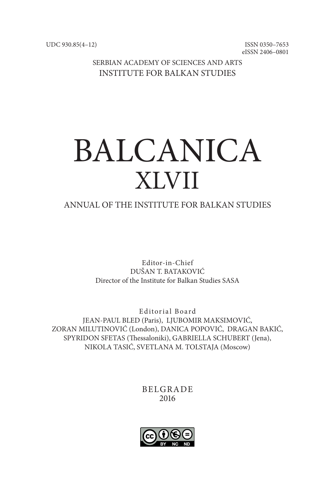ISSN 0350–7653 eISSN 2406–0801

SERBIAN ACADEMY OF SCIENCES AND ARTS INSTITUTE FOR BALKAN STUDIES

# BALCANICA XLVII

## ANNUAL OF THE INSTITUTE FOR BALKAN STUDIES

Editor-in-Chief DUŠAN T. BATAKOVIĆ Director of the Institute for Balkan Studies SASA

Editorial Board JEAN-PAUL BLED (Paris), LJUBOMIR MAKSIMOVIĆ, ZORAN MILUTINOVIĆ (London), DANICA POPOVIĆ, DRAGAN BAKIĆ, SPYRIDON SFETAS (Thessaloniki), GABRIELLA SCHUBERT (Jena), NIKOLA TASIĆ, SVETLANA M. TOLSTAJA (Moscow)

> BELGRADE 2016

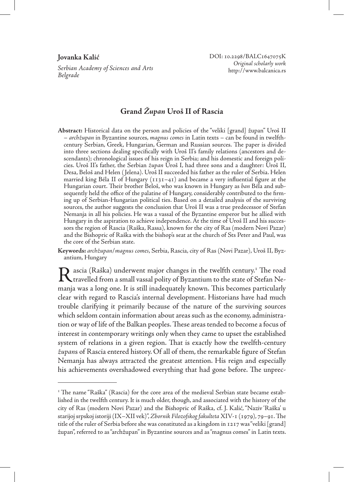*Serbian Academy of Sciences and Arts Belgrade*

## **Grand** *Župan* **Uroš II of Rascia**

**Abstract:** Historical data on the person and policies of the "veliki [grand] župan" Uroš II – *archžupan* in Byzantine sources, *magnus comes* in Latin texts – can be found in twelfthcentury Serbian, Greek, Hungarian, German and Russian sources. The paper is divided into three sections dealing specifically with Uroš II's family relations (ancestors and descendants); chronological issues of his reign in Serbia; and his domestic and foreign policies. Uroš II's father, the Serbian *župan* Uroš I, had three sons and a daughter: Uroš II, Desa, Beloš and Helen ( Jelena). Uroš II succeeded his father as the ruler of Serbia. Helen married king Béla II of Hungary  $(1131-41)$  and became a very influential figure at the Hungarian court. Their brother Beloš, who was known in Hungary as *ban* Béla and subsequently held the office of the palatine of Hungary, considerably contributed to the firming up of Serbian-Hungarian political ties. Based on a detailed analysis of the surviving sources, the author suggests the conclusion that Uroš II was a true predecessor of Stefan Nemanja in all his policies. He was a vassal of the Byzantine emperor but he allied with Hungary in the aspiration to achieve independence. At the time of Uroš II and his successors the region of Rascia (Raška, Rassa), known for the city of Ras (modern Novi Pazar) and the Bishopric of Raška with the bishop's seat at the church of Sts Peter and Paul, was the core of the Serbian state.

**Keywords:** *archžupan*/*magnus comes*, Serbia, Rascia, city of Ras (Novi Pazar), Uroš II, Byzantium, Hungary

Rascia (Raška) underwent major changes in the twelfth century.<sup>1</sup> The road<br>travelled from a small vassal polity of Byzantium to the state of Stefan Netravelled from a small vassal polity of Byzantium to the state of Stefan Nemanja was a long one. It is still inadequately known. This becomes particularly clear with regard to Rascia's internal development. Historians have had much trouble clarifying it primarily because of the nature of the surviving sources which seldom contain information about areas such as the economy, administration or way of life of the Balkan peoples. These areas tended to become a focus of interest in contemporary writings only when they came to upset the established system of relations in a given region. That is exactly how the twelfth-century *župan*s of Rascia entered history. Of all of them, the remarkable figure of Stefan Nemanja has always attracted the greatest attention. His reign and especially his achievements overshadowed everything that had gone before. The unprec-

<sup>&</sup>lt;sup>1</sup> The name "Raška" (Rascia) for the core area of the medieval Serbian state became established in the twelfth century. It is much older, though, and associated with the history of the city of Ras (modern Novi Pazar) and the Bishopric of Raška, cf. J. Kalić, "Naziv 'Raška' u starijoj srpskoj istoriji (IX–XII vek)", *Zbornik Filozofskog fakulteta* XIV-1 (1979), 79–91. The title of the ruler of Serbia before she was constituted as a kingdom in 1217 was "veliki [grand] župan", referred to as "archžupan" in Byzantine sources and as "magnus comes" in Latin texts.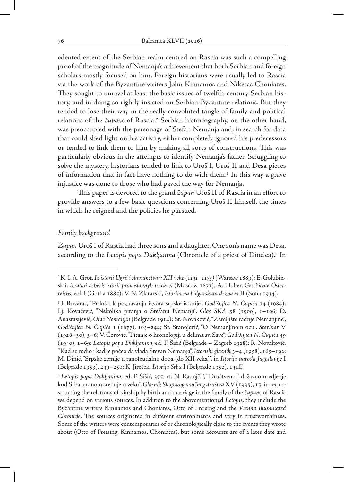edented extent of the Serbian realm centred on Rascia was such a compelling proof of the magnitude of Nemanja's achievement that both Serbian and foreign scholars mostly focused on him. Foreign historians were usually led to Rascia via the work of the Byzantine writers John Kinnamos and Niketas Choniates. They sought to unravel at least the basic issues of twelfth-century Serbian history, and in doing so rightly insisted on Serbian-Byzantine relations. But they tended to lose their way in the really convoluted tangle of family and political relations of the *župan*s of Rascia.2 Serbian historiography, on the other hand, was preoccupied with the personage of Stefan Nemanja and, in search for data that could shed light on his activity, either completely ignored his predecessors or tended to link them to him by making all sorts of constructions. This was particularly obvious in the attempts to identify Nemanja's father. Struggling to solve the mystery, historians tended to link to Uroš I, Uroš II and Desa pieces of information that in fact have nothing to do with them.<sup>3</sup> In this way a grave injustice was done to those who had paved the way for Nemanja.

This paper is devoted to the grand *župan* Uroš II of Rascia in an effort to provide answers to a few basic questions concerning Uroš II himself, the times in which he reigned and the policies he pursued.

### *Family background*

*Župan* Uroš I of Rascia had three sons and a daughter. One son's name was Desa, according to the *Letopis popa Dukljanina* (Chronicle of a priest of Dioclea).4 In

<sup>2</sup> K. I. A. Grot, *Iz istorii Ugrii i slavianstva v XII veke (1141–1173)* (Warsaw 1889); E. Golubinskii, *Kratkii ocherk istorii pravoslavnyh tserkvei* (Moscow 1871); A. Huber, *Geschichte Österreichs*, vol. I (Gotha 1885); V. N. Zlatarski, *Istoriia na bŭlgarskata drzhava* II (Sofia 1934).

<sup>3</sup> I. Ruvarac, "Prilošci k poznavanju izvora srpske istorije", *Godišnjica N. Čupića* 14 (1984); Lj. Kovačević, "Nekolika pitanja o Stefanu Nemanji", *Glas SKA* 58 (1900), 1–106; D. Anastasijević, *Otac Nemanjin* (Belgrade 1914); St. Novaković, "Zemljište radnje Nemanjine", *Godišnjica N. Čupića* 1 (1877), 163–244; St. Stanojević, "O Nemanjinom ocu", *Starinar* V (1928–30), 3–6; V. Ćorović, "Pitanje o hronologiji u delima sv. Save", *Godišnjica N. Čupića* 49 (1940), 1–69; *Letopis popa Dukljanina*, ed. F. Šišić (Belgrade – Zagreb 1928); R. Novaković, "Kad se rodio i kad je počeo da vlada Stevan Nemanja", *Istoriski glasnik* 3–4 (1958), 165–192; M. Dinić, "Srpske zemlje u ranofeudalno doba (do XII veka)", in *Istorija naroda Jugoslavije* I (Belgrade 1953), 249–250; K. Jireček, *Istorija Srba* I (Belgrade 1952), 141ff.

<sup>4</sup>*Letopis popa Dukljanina*, ed. F. Šišić, 375; cf. N. Radojčić, "Društveno i državno uredjenje kod Srba u ranom srednjem veku", *Glasnik Skopskog naučnog društva* XV (1935), 15; in reconstructing the relations of kinship by birth and marriage in the family of the *župan*s of Rascia we depend on various sources. In addition to the abovementioned *Letopis*, they include the Byzantine writers Kinnamos and Choniates, Otto of Freising and the *Vienna Illuminated Chronicle*. The sources originated in different environments and vary in trustworthiness. Some of the writers were contemporaries of or chronologically close to the events they wrote about (Otto of Freising, Kinnamos, Choniates), but some accounts are of a later date and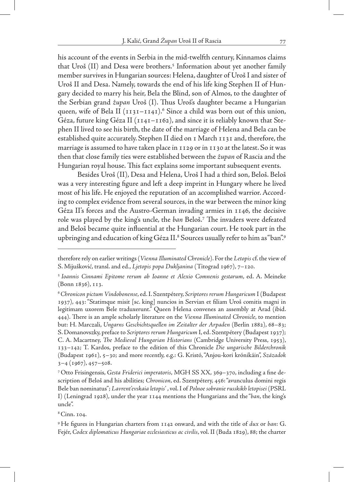his account of the events in Serbia in the mid-twelfth century, Kinnamos claims that Uroš (II) and Desa were brothers.<sup>5</sup> Information about yet another family member survives in Hungarian sources: Helena, daughter of Uroš I and sister of Uroš II and Desa. Namely, towards the end of his life king Stephen II of Hungary decided to marry his heir, Bela the Blind, son of Almos, to the daughter of the Serbian grand *župan* Uroš (I). Thus Uroš's daughter became a Hungarian queen, wife of Bela II (1131–1141).<sup>6</sup> Since a child was born out of this union, Géza, future king Géza II (1141–1162), and since it is reliably known that Stephen II lived to see his birth, the date of the marriage of Helena and Bela can be established quite accurately. Stephen II died on 1 March 1131 and, therefore, the marriage is assumed to have taken place in 1129 or in 1130 at the latest. So it was then that close family ties were established between the *župan* of Rascia and the Hungarian royal house. This fact explains some important subsequent events.

Besides Uroš (II), Desa and Helena, Uroš I had a third son, Beloš. Beloš was a very interesting figure and left a deep imprint in Hungary where he lived most of his life. He enjoyed the reputation of an accomplished warrior. According to complex evidence from several sources, in the war between the minor king Géza II's forces and the Austro-German invading armies in 1146, the decisive role was played by the king's uncle, the *ban* Beloš.7 The invaders were defeated and Beloš became quite influential at the Hungarian court. He took part in the upbringing and education of king Géza II.<sup>8</sup> Sources usually refer to him as "ban".<sup>9</sup>

8 Cinn. 104.

therefore rely on earlier writings (*Vienna Illuminated Chronicle*). For the *Letopis* cf. the view of S. Mijušković, transl. and ed., *Ljetopis popa Dukljanina* (Titograd 1967), 7–120.

<sup>5</sup> *Ioannis Cinnami Epitome rerum ab Ioanne et Alexio Comnenis gestarum*, ed. A. Meineke (Bonn 1836), 113.

<sup>6</sup>*Chronicon pictum Vindobonense*, ed. I. Szentpétery, *Scriptores rerum Hungaricum* I (Budapest 1937), 443: "Statimque misit [sc. king] nuncios in Servian et filiam Uroš comitis magni in legitimam uxorem Bele traduxerunt." Queen Helena convenes an assembly at Arad (ibid. 444). There is an ample scholarly literature on the *Vienna Illuminated Chronicle*, to mention but: H. Marczali, *Ungarns Geschichtsquellen im Zeitalter der Arpaden* (Berlin 1882), 68–83; S. Domanovszky, preface to *Scriptores rerum Hungaricum* I, ed. Szentpétery (Budapest 1937); C. A. Macartney, *The Medieval Hungarian Historians* (Cambridge University Press, 1953), 133–142; T. Kardos, preface to the edition of this Chronicle *Die ungarische Bilderchronik*  (Budapest 1961), 5–30; and more recently, e.g.: G. Kristó, "Anjou-kori krónikáin", *Századok*   $3-4$  (1967), 457–508.

<sup>7</sup> Otto Frisingensis, *Gesta Friderici imperatoris*, MGH SS XX, 369–370, including a fine description of Beloš and his abilities; *Chronicon*, ed. Szentpétery, 456: "avunculus domini regis Bele ban nominatus"; *Lavrent'evskaia letopis'* , vol. I of *Polnoe sobranie russkikh letopisei* (PSRL I) (Leningrad 1928), under the year 1144 mentions the Hungarians and the "*ban*, the king's uncle".

<sup>9</sup> He figures in Hungarian charters from 1142 onward, and with the title of *dux* or *ban*: G. Fejér, *Codex diplomaticus Hungariae ecclesiasticus ac civilis*, vol. II (Buda 1829), 88; the charter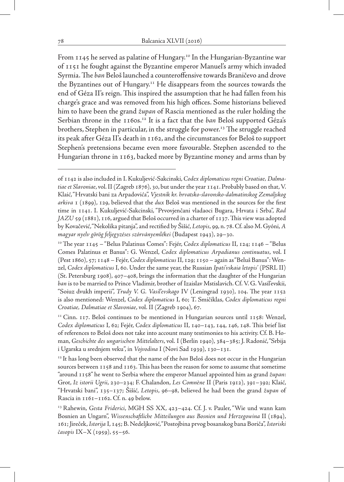From  $1145$  he served as palatine of Hungary.<sup>10</sup> In the Hungarian-Byzantine war of 1151 he fought against the Byzantine emperor Manuel's army which invaded Syrmia. The *ban* Beloš launched a counteroffensive towards Braničevo and drove the Byzantines out of Hungary.11 He disappears from the sources towards the end of Géza II's reign. This inspired the assumption that he had fallen from his charge's grace and was removed from his high offices. Some historians believed him to have been the grand *župan* of Rascia mentioned as the ruler holding the Serbian throne in the 1160s.12 It is a fact that the *ban* Beloš supported Géza's brothers, Stephen in particular, in the struggle for power.<sup>13</sup> The struggle reached its peak after Géza II's death in 1162, and the circumstances for Beloš to support Stephen's pretensions became even more favourable. Stephen ascended to the Hungarian throne in 1163, backed more by Byzantine money and arms than by

of 1142 is also included in I. Kukuljević-Sakcinski, *Codex diplomaticus regni Croatiae, Dalmatiae et Slavoniae*, vol. II (Zagreb 1876), 30, but under the year 1141. Probably based on that, V. Klaić, "Hrvatski bani za Arpadovića", *Vjestnik kr. hrvatsko-slavonsko-dalmatinskog Zemaljskog arkiva* 1 (1899), 129, believed that the *dux* Beloš was mentioned in the sources for the first time in 1141. I. Kukuljević-Sakcinski, "Prvovjenčani vladaoci Bugara, Hrvata i Srba", *Rad JAZU* 59 (1881), 116, argued that Beloš occurred in a charter of 1137. This view was adopted by Kovačević, "Nekolika pitanja", and rectified by Šišić, *Letopis*, 99, n. 78. Cf. also M. Gyóni, *A magyar nyelv görög feljegyzéses szórványemlékei* (Budapest 1943), 29–30.

<sup>10</sup>The year 1145 – "Belus Palatinus Comes": Fejér, *Codex diplomaticus* II, 124; 1146 – "Belus Comes Palatinus et Banus": G. Wenzel, *Codex diplomaticus Arpadianus continuatus*, vol. I (Pest 1860), 57; 1148 – Fejér, *Codex diplomaticus* II, 129; 1150 – again as "Beluš Banus": Wenzel, *Codex diplomaticus* I, 60. Under the same year, the Russian *Ipati'vskaia letopis'* (PSRL II) (St. Petersburg 1908), 407–408, brings the information that the daughter of the Hungarian *ban* is to be married to Prince Vladimir, brother of Izaislav Mstislavich. Cf. V. G. Vasil'evskii, "Soiuz dvukh imperii", *Trudy V. G. Vasil'evskago* IV (Leningrad 1930), 104. The year 1152 is also mentioned: Wenzel, *Codex diplomaticus* I, 60; T. Smičiklas, *Codex diplomaticus regni Croatiae, Dalmatiae et Slavoniae*, vol. II (Zagreb 1904), 67.

<sup>&</sup>lt;sup>11</sup> Cinn. 117. Beloš continues to be mentioned in Hungarian sources until 1158: Wenzel, *Codex diplomaticus* I, 62; Fejér, *Codex diplomaticus* II, 140–143, 144, 146, 148. This brief list of references to Beloš does not take into account many testimonies to his activity. Cf. B. Homan, *Geschichte des ungarischen Mittelalters*, vol. I (Berlin 1940), 384–385; J. Radonić, "Srbija i Ugarska u srednjem veku", in *Vojvodina* I (Novi Sad 1939), 130–131.

<sup>12</sup> It has long been observed that the name of the *ban* Beloš does not occur in the Hungarian sources between 1158 and 1163. This has been the reason for some to assume that sometime "around 1158" he went to Serbia where the emperor Manuel appointed him as grand *župan*: Grot, *Iz istorii Ugrii*, 230–234; F. Chalandon, *Les Comnène* II (Paris 1912), 391–392; Klaić, "Hrvatski bani", 135–137; Šišić, *Letopis*, 96–98, believed he had been the grand *župan* of Rascia in 1161–1162. Cf. n. 49 below.

<sup>&</sup>lt;sup>13</sup> Rahewin, *Gesta Friderici*, MGH SS XX, 423-424. Cf. J. v. Pauler, "Wie und wann kam Bosnien an Ungarn", *Wissenschaftliche Mitteilungen aus Bosnien und Herzegowina* II (1894), 161; Jireček, *Istorija* I, 145; B. Nedeljković, "Postojbina prvog bosanskog bana Boriča", *Istoriski časopis* IX–X (1959), 55–56.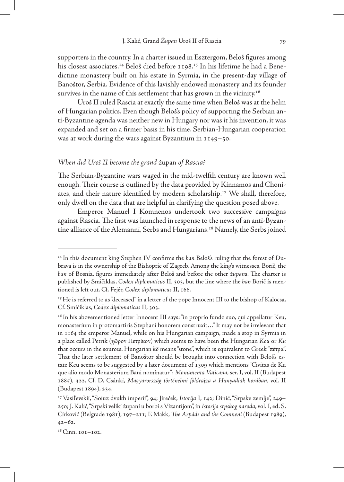supporters in the country. In a charter issued in Esztergom, Beloš figures among his closest associates.<sup>14</sup> Beloš died before 1198.<sup>15</sup> In his lifetime he had a Benedictine monastery built on his estate in Syrmia, in the present-day village of Banoštor, Serbia. Evidence of this lavishly endowed monastery and its founder survives in the name of this settlement that has grown in the vicinity.<sup>16</sup>

Uroš II ruled Rascia at exactly the same time when Beloš was at the helm of Hungarian politics. Even though Beloš's policy of supporting the Serbian anti-Byzantine agenda was neither new in Hungary nor was it his invention, it was expanded and set on a firmer basis in his time. Serbian-Hungarian cooperation was at work during the wars against Byzantium in 1149–50.

#### *When did Uroš II become the grand* župan *of Rascia?*

The Serbian-Byzantine wars waged in the mid-twelfth century are known well enough. Their course is outlined by the data provided by Kinnamos and Choniates, and their nature identified by modern scholarship.<sup>17</sup> We shall, therefore, only dwell on the data that are helpful in clarifying the question posed above.

Emperor Manuel I Komnenos undertook two successive campaigns against Rascia. The first was launched in response to the news of an anti-Byzantine alliance of the Alemanni, Serbs and Hungarians.<sup>18</sup> Namely, the Serbs joined

<sup>14</sup> In this document king Stephen IV confirms the *ban* Beloš's ruling that the forest of Dubrava is in the ownership of the Bishopric of Zagreb. Among the king's witnesses, Borič, the *ban* of Bosnia, figures immediately after Beloš and before the other *župan*s. The charter is published by Smičiklas, *Codex diplomaticus* II, 303, but the line where the *ban* Borič is mentioned is left out. Cf. Fejér, *Codex diplomaticus* II, 166.

 $15$  He is referred to as "deceased" in a letter of the pope Innocent III to the bishop of Kalocsa. Cf. Smičiklas, *Codex diplomaticus* II, 303.

<sup>&</sup>lt;sup>16</sup> In his abovementioned letter Innocent III says: "in proprio fundo suo, qui appellatur Keu, monasterium in protomartiris Stephani honorem construxit…" It may not be irrelevant that in 1164 the emperor Manuel, while on his Hungarian campaign, made a stop in Syrmia in a place called Petrik (χῶρον Πετρίκον) which seems to have been the Hungarian *Keu* or *Ku* that occurs in the sources. Hungarian *kö* means "stone", which is equivalent to Greek "πέτρα". That the later settlement of Banoštor should be brought into connection with Beloš's estate Keu seems to be suggested by a later document of 1309 which mentions "Civitas de Ku que alio modo Monasterium Bani nominatur": *Monumenta Vaticana*, ser. I, vol. II (Budapest 1885), 322. Cf. D. Csánki, *Magyarország történelmi földrajza a Hunyadiak korában*, vol. II (Budapest 1894), 234.

<sup>17</sup> Vasil'evskii, "Soiuz dvukh imperii", 94; Jireček, *Istorija* I, 142; Dinić, "Srpske zemlje", 249– 250; J. Kalić, "Srpski veliki župani u borbi s Vizantijom", in *Istorija srpskog naroda*, vol. I, ed. S. Ćirković (Belgrade 1981), 197–211; F. Makk, *The Arpáds and the Comneni* (Budapest 1989), 42–62.

<sup>&</sup>lt;sup>18</sup> Cinn. 101-102.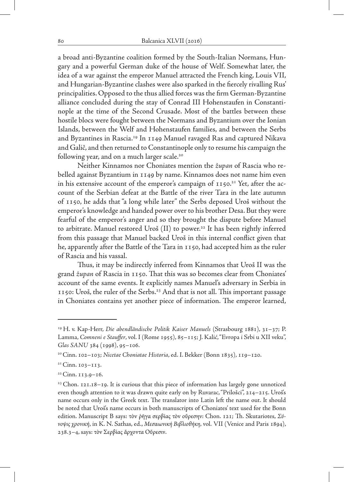a broad anti-Byzantine coalition formed by the South-Italian Normans, Hungary and a powerful German duke of the house of Welf. Somewhat later, the idea of a war against the emperor Manuel attracted the French king, Louis VII, and Hungarian-Byzantine clashes were also sparked in the fiercely rivalling Rus' principalities. Opposed to the thus allied forces was the firm German-Byzantine alliance concluded during the stay of Conrad III Hohenstaufen in Constantinople at the time of the Second Crusade. Most of the battles between these hostile blocs were fought between the Normans and Byzantium over the Ionian Islands, between the Welf and Hohenstaufen families, and between the Serbs and Byzantines in Rascia.19 In 1149 Manuel ravaged Ras and captured Nikava and Galič, and then returned to Constantinople only to resume his campaign the following year, and on a much larger scale.<sup>20</sup>

Neither Kinnamos nor Choniates mention the *župan* of Rascia who rebelled against Byzantium in 1149 by name. Kinnamos does not name him even in his extensive account of the emperor's campaign of  $1150.^{21}$  Yet, after the account of the Serbian defeat at the Battle of the river Tara in the late autumn of 1150, he adds that "a long while later" the Serbs deposed Uroš without the emperor's knowledge and handed power over to his brother Desa. But they were fearful of the emperor's anger and so they brought the dispute before Manuel to arbitrate. Manuel restored Uroš (II) to power.<sup>22</sup> It has been rightly inferred from this passage that Manuel backed Uroš in this internal conflict given that he, apparently after the Battle of the Tara in 1150, had accepted him as the ruler of Rascia and his vassal.

Thus, it may be indirectly inferred from Kinnamos that Uroš II was the grand *župan* of Rascia in 1150. That this was so becomes clear from Choniates' account of the same events. It explicitly names Manuel's adversary in Serbia in 1150: Uroš, the ruler of the Serbs.23 And that is not all. This important passage in Choniates contains yet another piece of information. The emperor learned,

<sup>19</sup> H. v. Kap-Herr, *Die abendländische Politik Kaiser Manuels* (Strasbourg 1881), 31–37; P. Lamma, *Comneni e Stauffer*, vol. I (Rome 1955), 85–115; J. Kalić, "Evropa i Srbi u XII veku", *Glas SANU* 384 (1998), 95–106.

<sup>20</sup>Cinn. 102–103; *Nicetae Choniatae Historia*, ed. I. Bekker (Bonn 1835), 119–120.

<sup>21</sup> Cinn. 103–113.

<sup>22</sup> Cinn. 113.9–16.

 $23$  Chon. 121.18–19. It is curious that this piece of information has largely gone unnoticed even though attention to it was drawn quite early on by Ruvarac, "Prilošci", 214–215. Uroš's name occurs only in the Greek text. The translator into Latin left the name out. It should be noted that Uroš's name occurs in both manuscripts of Choniates' text used for the Bonn edition. Manuscript B says: τὸv ῥῆγα σερβίας τὸv οὔρεσην: Chon. 121; Th. Skutariotes, *Σύνοψις χρονική*, in K. N. Sathas, ed., *Μεσαιωνική Βιβλιοθήκη*, vol. VII (Venice and Paris 1894), 238.3–4, says: τὸv Σερβίας ἄρχοντα Οὔρεσιν.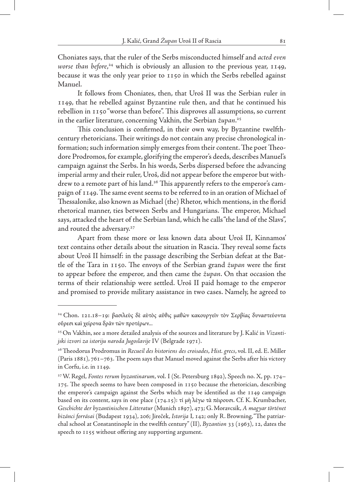Choniates says, that the ruler of the Serbs misconducted himself and *acted even worse than before*, 24 which is obviously an allusion to the previous year, 1149, because it was the only year prior to 1150 in which the Serbs rebelled against Manuel.

It follows from Choniates, then, that Uroš II was the Serbian ruler in 1149, that he rebelled against Byzantine rule then, and that he continued his rebellion in 1150 "worse than before". This disproves all assumptions, so current in the earlier literature, concerning Vakhin, the Serbian *župan*. 25

This conclusion is confirmed, in their own way, by Byzantine twelfthcentury rhetoricians. Their writings do not contain any precise chronological information; such information simply emerges from their content. The poet Theodore Prodromos, for example, glorifying the emperor's deeds, describes Manuel's campaign against the Serbs. In his words, Serbs dispersed before the advancing imperial army and their ruler, Uroš, did not appear before the emperor but withdrew to a remote part of his land.<sup>26</sup> This apparently refers to the emperor's campaign of 1149. The same event seems to be referred to in an oration of Michael of Thessalonike, also known as Michael (the) Rhetor, which mentions, in the florid rhetorical manner, ties between Serbs and Hungarians. The emperor, Michael says, attacked the heart of the Serbian land, which he calls "the land of the Slavs", and routed the adversary.<sup>27</sup>

Apart from these more or less known data about Uroš II, Kinnamos' text contains other details about the situation in Rascia. They reveal some facts about Uroš II himself: in the passage describing the Serbian defeat at the Battle of the Tara in 1150. The envoys of the Serbian grand *župan* were the first to appear before the emperor, and then came the *župan*. On that occasion the terms of their relationship were settled. Uroš II paid homage to the emperor and promised to provide military assistance in two cases. Namely, he agreed to

<sup>&</sup>lt;sup>24</sup> Chon. 121.18–19: βασιλεὺς δὲ αὺτὸς αὖθις μαθὼν κακουργεῖν τὸν Σερβίας δυναστεύοντα οὔρεσι καὶ χείρονα δρᾶν τῶν προτέρων...

<sup>25</sup> On Vakhin, see a more detailed analysis of the sources and literature by J. Kalić in *Vizantijski izvori za istoriju naroda Jugoslavije* IV (Belgrade 1971).

<sup>26</sup>Theodorus Prodromus in *Recueil des historiens des croisades*, *Hist. grecs*, vol. II, ed. E. Miller (Paris 1881), 761–763. The poem says that Manuel moved against the Serbs after his victory in Corfu, i.e. in 1149.

<sup>27</sup>W. Regel, *Fontes rerum byzantinarum*, vol. I (St. Petersburg 1892), Speech no. X, pp. 174– 175. The speech seems to have been composed in 1150 because the rhetorician, describing the emperor's campaign against the Serbs which may be identified as the 1149 campaign based on its content, says in one place (174.15): τί μὴ λέγω τὰ πέιρουσι. Cf. K. Krumbacher, *Geschichte der byzantinischen Litteratur* (Munich 1897), 473; G. Moravcsik, *A magyar történet bizánci forrásai* (Budapest 1934), 206; Jireček, *Istorija* I, 142; only R. Browning, "The patriarchal school at Constantinople in the twelfth century" (II), *Byzantion* 33 (1963), 12, dates the speech to 1155 without offering any supporting argument.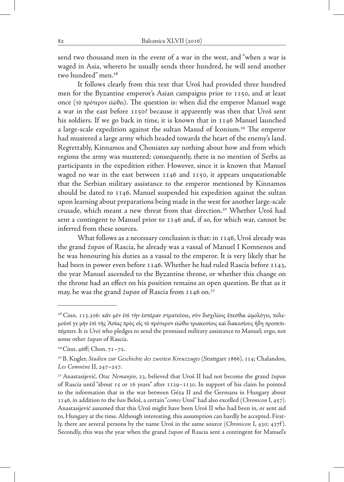send two thousand men in the event of a war in the west, and "when a war is waged in Asia, whereto he usually sends three hundred, he will send another two hundred" men.<sup>28</sup>

It follows clearly from this text that Uroš had provided three hundred men for the Byzantine emperor's Asian campaigns prior to 1150, and at least once (τὸ πρότερον εἰώθει). The question is: when did the emperor Manuel wage a war in the east before 1150? because it apparently was then that Uroš sent his soldiers. If we go back in time, it is known that in 1146 Manuel launched a large-scale expedition against the sultan Masud of Iconium.<sup>29</sup> The emperor had mustered a large army which headed towards the heart of the enemy's land. Regrettably, Kinnamos and Choniates say nothing about how and from which regions the army was mustered; consequently, there is no mention of Serbs as participants in the expedition either. However, since it is known that Manuel waged no war in the east between 1146 and 1150, it appears unquestionable that the Serbian military assistance to the emperor mentioned by Kinnamos should be dated to 1146. Manuel suspended his expedition against the sultan upon learning about preparations being made in the west for another large-scale crusade, which meant a new threat from that direction.30 Whether Uroš had sent a contingent to Manuel prior to 1146 and, if so, for which war, cannot be inferred from these sources.

What follows as a necessary conclusion is that: in 1146, Uroš already was the grand *župan* of Rascia, he already was a vassal of Manuel I Komnenos and he was honouring his duties as a vassal to the emperor. It is very likely that he had been in power even before 1146. Whether he had ruled Rascia before 1143, the year Manuel ascended to the Byzantine throne, or whether this change on the throne had an effect on his position remains an open question. Be that as it may, he was the grand *župan* of Rascia from 1146 on.31

<sup>28</sup> Cinn. 113.306: κἄν μἐν ἐπὶ τὴν ἑσπέραν στρατεύοιε, σὺν δισχιλίοις ἓπεσθαι ὡμολόγει, πολεμοῦσί γε μὴν ἐπὶ τῆς 'Ασίας πρὸς οἷς τὸ πρότερον εἰώθει τριακοσίοις καὶ διακοσίους ἢδη προσεπιπέμπειν. It is *Uroš* who pledges to send the promised military assistance to Manuel; ergo, not some other *župan* of Rascia.

<sup>29</sup>Cinn. 46ff; Chon. 71–72.

<sup>30</sup>B. Kugler, *Studien zur Geschichte des zweiten Kreuzzuges* (Stuttgart 1866), 114; Chalandon, *Les Comnène* II, 247–257.

<sup>31</sup> Anastasijević, *Otac Nemanjin*, 23, believed that Uroš II had not become the grand *župan* of Rascia until "about 15 or 16 years" after 1129–1130. In support of his claim he pointed to the information that in the war between Géza II and the Germans in Hungary about 1146, in addition to the *ban* Beloš, a certain "*comes* Uroš" had also excelled (*Chronicon* I, 457). Anastasijević assumed that this Uroš might have been Uroš II who had been in, or sent aid to, Hungary at the time. Although interesting, this assumption can hardly be accepted. Firstly, there are several persons by the name Uroš in the same source (*Chronicon* I, 430; 437f ). Secondly, this was the year when the grand *župan* of Rascia sent a contingent for Manuel's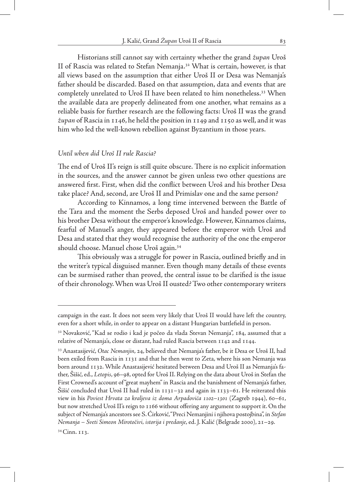Historians still cannot say with certainty whether the grand *župan* Uroš II of Rascia was related to Stefan Nemanja.32 What is certain, however, is that all views based on the assumption that either Uroš II or Desa was Nemanja's father should be discarded. Based on that assumption, data and events that are completely unrelated to Uroš II have been related to him nonetheless.<sup>33</sup> When the available data are properly delineated from one another, what remains as a reliable basis for further research are the following facts: Uroš II was the grand *župan* of Rascia in 1146, he held the position in 1149 and 1150 as well, and it was him who led the well-known rebellion against Byzantium in those years.

#### *Until when did Uroš II rule Rascia?*

The end of Uroš II's reign is still quite obscure. There is no explicit information in the sources, and the answer cannot be given unless two other questions are answered first. First, when did the conflict between Uroš and his brother Desa take place? And, second, are Uroš II and Primislav one and the same person?

According to Kinnamos, a long time intervened between the Battle of the Tara and the moment the Serbs deposed Uroš and handed power over to his brother Desa without the emperor's knowledge. However, Kinnamos claims, fearful of Manuel's anger, they appeared before the emperor with Uroš and Desa and stated that they would recognise the authority of the one the emperor should choose. Manuel chose Uroš again.34

This obviously was a struggle for power in Rascia, outlined briefly and in the writer's typical disguised manner. Even though many details of these events can be surmised rather than proved, the central issue to be clarified is the issue of their chronology. When was Uroš II ousted? Two other contemporary writers

campaign in the east. It does not seem very likely that Uroš II would have left the country, even for a short while, in order to appear on a distant Hungarian battlefield in person.

<sup>&</sup>lt;sup>32</sup> Novaković, "Kad se rodio i kad je počeo da vlada Stevan Nemanja", 184, assumed that a relative of Nemanja's, close or distant, had ruled Rascia between 1142 and 1144.

<sup>33</sup> Anastasijević, *Otac Nemanjin*, 24, believed that Nemanja's father, be it Desa or Uroš II, had been exiled from Rascia in 1131 and that he then went to Zeta, where his son Nemanja was born around 1132. While Anastasijević hesitated between Desa and Uroš II as Nemanja's father, Šišić, ed., *Letopis*, 96–98, opted for Uroš II. Relying on the data about Uroš in Stefan the First Crowned's account of "great mayhem" in Rascia and the banishment of Nemanja's father, Šišić concluded that Uroš II had ruled in 1131–32 and again in 1133–61. He reiterated this view in his *Poviest Hrvata za kraljeva iz doma Arpadovića 1102–1301* (Zagreb 1944), 60–61, but now stretched Uroš II's reign to 1166 without offering any argument to support it. On the subject of Nemanja's ancestors see S. Ćirković, "Preci Nemanjini i njihova postojbina", in *Stefan Nemanja – Sveti Simeon Mirotočivi, istorija i predanje*, ed. J. Kalić (Belgrade 2000), 21–29.

<sup>34</sup> Cinn. 113.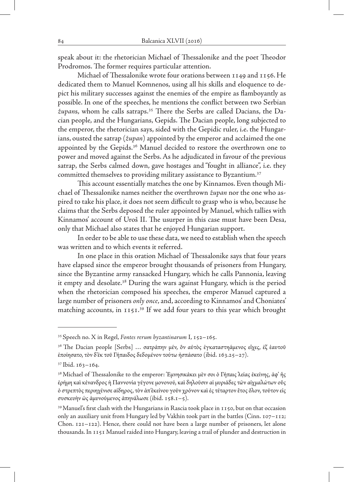speak about it: the rhetorician Michael of Thessalonike and the poet Theodor Prodromos. The former requires particular attention.

Michael of Thessalonike wrote four orations between 1149 and 1156. He dedicated them to Manuel Komnenos, using all his skills and eloquence to depict his military successes against the enemies of the empire as flamboyantly as possible. In one of the speeches, he mentions the conflict between two Serbian *župan*s, whom he calls satraps.35 There the Serbs are called Dacians, the Dacian people, and the Hungarians, Gepids. The Dacian people, long subjected to the emperor, the rhetorician says, sided with the Gepidic ruler, i.e. the Hungarians, ousted the satrap (*župan*) appointed by the emperor and acclaimed the one appointed by the Gepids.<sup>36</sup> Manuel decided to restore the overthrown one to power and moved against the Serbs. As he adjudicated in favour of the previous satrap, the Serbs calmed down, gave hostages and "fought in alliance", i.e. they committed themselves to providing military assistance to Byzantium.<sup>37</sup>

This account essentially matches the one by Kinnamos. Even though Michael of Thessalonike names neither the overthrown *župan* nor the one who aspired to take his place, it does not seem difficult to grasp who is who, because he claims that the Serbs deposed the ruler appointed by Manuel, which tallies with Kinnamos' account of Uroš II. The usurper in this case must have been Desa, only that Michael also states that he enjoyed Hungarian support.

In order to be able to use these data, we need to establish when the speech was written and to which events it referred.

In one place in this oration Michael of Thessalonike says that four years have elapsed since the emperor brought thousands of prisoners from Hungary, since the Byzantine army ransacked Hungary, which he calls Pannonia, leaving it empty and desolate.<sup>38</sup> During the wars against Hungary, which is the period when the rhetorician composed his speeches, the emperor Manuel captured a large number of prisoners *only once*, and, according to Kinnamos' and Choniates' matching accounts, in 1151.<sup>39</sup> If we add four years to this year which brought

<sup>35</sup> Speech no. X in Regel, *Fontes rerum byzantinarum* I, 152–165.

<sup>&</sup>lt;sup>36</sup> The Dacian people [Serbs] ... σατράπην μέν, ὃν αὐτὸς ἐγκαταστηάμενος εἶχες, ἐζ ἑαυτοῦ ἐποίησατο, τὸν δ'ἐκ τοῦ Γήπαιδος δεδομένον τούτω ἠσπάσατο (ibid. 163.25–27).

<sup>37</sup> Ibid. 163–164.

<sup>38</sup> Michael of Thessalonike to the emperor: 'Εμνησικάκει μὲν σοι ὁ Γήπαις λείας ἐκείνης, ἀφ' ἧς ἐρήμη καὶ κένανδρος ἡ Παννονία γέγονε μονονού, καὶ δηλοῦσιν αἱ μυριάδεςτῶν αἰχμαλώτων οὓς ὁ στρεπτὸς περιηχένισε αίδηρος, τὸν ἀπ'ἐκείνου γοῦν χρόνον καὶἐςτέταρτον ἒτος ὅλον, τοῦτον εἰς συσκευὴν ὡς ἀμυνούμενος ἀπηνάλωσε (ibid. 158.1–5).

<sup>39</sup> Manuel's first clash with the Hungarians in Rascia took place in 1150, but on that occasion only an auxiliary unit from Hungary led by Vakhin took part in the battles (Cinn. 107–112; Chon. 121–122). Hence, there could not have been a large number of prisoners, let alone thousands. In 1151 Manuel raided into Hungary, leaving a trail of plunder and destruction in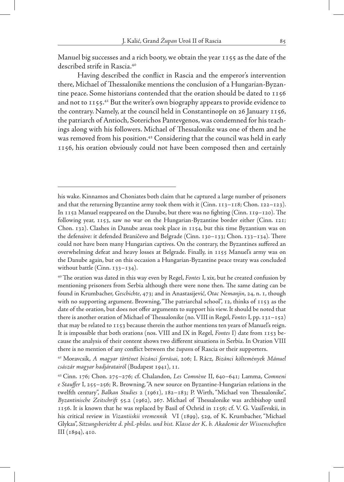Manuel big successes and a rich booty, we obtain the year 1155 as the date of the described strife in Rascia.40

Having described the conflict in Rascia and the emperor's intervention there, Michael of Thessalonike mentions the conclusion of a Hungarian-Byzantine peace. Some historians contended that the oration should be dated to 1156 and not to 1155.<sup>41</sup> But the writer's own biography appears to provide evidence to the contrary. Namely, at the council held in Constantinople on 26 January 1156, the patriarch of Antioch, Soterichos Pantevgenos, was condemned for his teachings along with his followers. Michael of Thessalonike was one of them and he was removed from his position.<sup>42</sup> Considering that the council was held in early 1156, his oration obviously could not have been composed then and certainly

41 Moravcsik, *A magyar történet bizánci forrásai*, 206; I. Rácz, *Bizánci költemények Mánuel császár magyar hadjáratairól* (Budapest 1941), 11.

his wake. Kinnamos and Choniates both claim that he captured a large number of prisoners and that the returning Byzantine army took them with it (Cinn.  $113-118$ ; Chon.  $122-123$ ). In 1152 Manuel reappeared on the Danube, but there was no fighting (Cinn. 119–120). The following year, 1153, saw no war on the Hungarian-Byzantine border either (Cinn. 121; Chon. 132). Clashes in Danube areas took place in 1154, but this time Byzantium was on the defensive: it defended Braničevo and Belgrade (Cinn. 130–133; Chon. 133–134). There could not have been many Hungarian captives. On the contrary, the Byzantines suffered an overwhelming defeat and heavy losses at Belgrade. Finally, in 1155 Manuel's army was on the Danube again, but on this occasion a Hungarian-Byzantine peace treaty was concluded without battle (Cinn. 133–134).

<sup>40</sup> The oration was dated in this way even by Regel, *Fontes* I, xix, but he created confusion by mentioning prisoners from Serbia although there were none then. The same dating can be found in Krumbacher, *Geschichte*, 473; and in Anastasijević, *Otac Nemanjin*, 24, n. 1, though with no supporting argument. Browning, "The patriarchal school", 12, thinks of 1153 as the date of the oration, but does not offer arguments to support his view. It should be noted that there is another oration of Michael of Thessalonike (no. VIII in Regel, *Fontes* I, pp. 131–152) that may be related to 1153 because therein the author mentions ten years of Manuel's reign. It is impossible that both orations (nos. VIII and IX in Regel, *Fontes* I) date from 1153 because the analysis of their content shows two different situations in Serbia. In Oration VIII there is no mention of any conflict between the *župan*s of Rascia or their supporters.

<sup>42</sup> Cinn. 176; Chon. 275–276; cf. Chalandon, *Les Comnène* II, 640–641; Lamma, *Comneni e Stauffer* I, 255–256; R. Browning, "A new source on Byzantine-Hungarian relations in the twelfth century", *Balkan Studies* 2 (1961), 182–183; P. Wirth, "Michael von Thessalonike", *Byzantinische Zeitschrift* 55.2 (1962), 267. Michael of Thessalonike was archbishop until 1156. It is known that he was replaced by Basil of Ochrid in 1156; cf. V. G. Vasil'evskii, in his critical review in *Vizantiiskii vremennik* VI (1899), 529, of K. Krumbacher, "Michael Glykas", *Sitzungsberichte d. phil.-philos. und hist. Klasse der K. b. Akademie der Wissenschaften* III (1894), 410.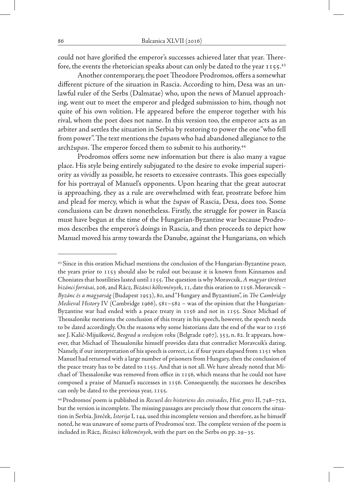could not have glorified the emperor's successes achieved later that year. Therefore, the events the rhetorician speaks about can only be dated to the year 1155.43

Another contemporary, the poet Theodore Prodromos, offers a somewhat different picture of the situation in Rascia. According to him, Desa was an unlawful ruler of the Serbs (Dalmatae) who, upon the news of Manuel approaching, went out to meet the emperor and pledged submission to him, though not quite of his own volition. He appeared before the emperor together with his rival, whom the poet does not name. In this version too, the emperor acts as an arbiter and settles the situation in Serbia by restoring to power the one "who fell from power". The text mentions the *župan*s who had abandoned allegiance to the arch*župan*. The emperor forced them to submit to his authority.44

Prodromos offers some new information but there is also many a vague place. His style being entirely subjugated to the desire to evoke imperial superiority as vividly as possible, he resorts to excessive contrasts. This goes especially for his portrayal of Manuel's opponents. Upon hearing that the great autocrat is approaching, they as a rule are overwhelmed with fear, prostrate before him and plead for mercy, which is what the *župan* of Rascia, Desa, does too. Some conclusions can be drawn nonetheless. Firstly, the struggle for power in Rascia must have begun at the time of the Hungarian-Byzantine war because Prodromos describes the emperor's doings in Rascia, and then proceeds to depict how Manuel moved his army towards the Danube, against the Hungarians, on which

<sup>&</sup>lt;sup>43</sup> Since in this oration Michael mentions the conclusion of the Hungarian-Byzantine peace, the years prior to 1153 should also be ruled out because it is known from Kinnamos and Choniates that hostilities lasted until 1155. The question is why Moravcsik, *A magyar történet bizánci forrásai*, 206, and Rácz, *Bizánci költemények*, 11, date this oration to 1156. Moravcsik – *Byzánc és a magyarság* (Budapest 1953), 80, and "Hungary and Byzantium", in *The Cambridge Medieval History* IV (Cambridge 1966), 581–582 – was of the opinion that the Hungarian-Byzantine war had ended with a peace treaty in 1156 and not in 1155. Since Michael of Thessalonike mentions the conclusion of this treaty in his speech, however, the speech needs to be dated accordingly. On the reasons why some historians date the end of the war to 1156 see J. Kalić-Mijušković, *Beograd u srednjem veku* (Belgrade 1967), 353, n. 82. It appears, however, that Michael of Thessalonike himself provides data that contradict Moravcsik's dating. Namely, if our interpretation of his speech is correct, i.e. if four years elapsed from 1151 when Manuel had returned with a large number of prisoners from Hungary, then the conclusion of the peace treaty has to be dated to 1155. And that is not all. We have already noted that Michael of Thessalonike was removed from office in 1156, which means that he could not have composed a praise of Manuel's successes in 1156. Consequently, the successes he describes can only be dated to the previous year, 1155.

<sup>44</sup> Prodromos' poem is published in *Recueil des historiens des croisades*, *Hist. grecs* II, 748–752, but the version is incomplete. The missing passages are precisely those that concern the situation in Serbia. Jireček, *Istorija* I, 144, used this incomplete version and therefore, as he himself noted, he was unaware of some parts of Prodromos' text. The complete version of the poem is included in Rácz, *Bizánci költemények*, with the part on the Serbs on pp. 29–35.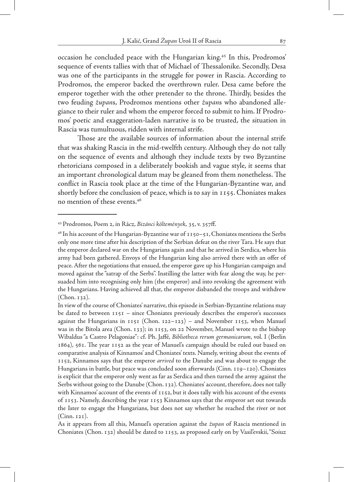occasion he concluded peace with the Hungarian king.45 In this, Prodromos' sequence of events tallies with that of Michael of Thessalonike. Secondly, Desa was one of the participants in the struggle for power in Rascia. According to Prodromos, the emperor backed the overthrown ruler. Desa came before the emperor together with the other pretender to the throne. Thirdly, besides the two feuding *župan*s, Prodromos mentions other *župan*s who abandoned allegiance to their ruler and whom the emperor forced to submit to him. If Prodromos' poetic and exaggeration-laden narrative is to be trusted, the situation in Rascia was tumultuous, ridden with internal strife.

Those are the available sources of information about the internal strife that was shaking Rascia in the mid-twelfth century. Although they do not tally on the sequence of events and although they include texts by two Byzantine rhetoricians composed in a deliberately bookish and vague style, it seems that an important chronological datum may be gleaned from them nonetheless. The conflict in Rascia took place at the time of the Hungarian-Byzantine war, and shortly before the conclusion of peace, which is to say in 1155. Choniates makes no mention of these events.46

<sup>45</sup> Prodromos, Poem 2, in Rácz, *Bizánci költemények*, 35, v. 357ff.

 $46$  In his account of the Hungarian-Byzantine war of  $1150 - 51$ , Choniates mentions the Serbs only one more time after his description of the Serbian defeat on the river Tara. He says that the emperor declared war on the Hungarians again and that he arrived in Serdica, where his army had been gathered. Envoys of the Hungarian king also arrived there with an offer of peace. After the negotiations that ensued, the emperor gave up his Hungarian campaign and moved against the "satrap of the Serbs". Instilling the latter with fear along the way, he persuaded him into recognising only him (the emperor) and into revoking the agreement with the Hungarians. Having achieved all that, the emperor disbanded the troops and withdrew (Chon. 132).

In view of the course of Choniates' narrative, this episode in Serbian-Byzantine relations may be dated to between  $1151 -$  since Choniates previously describes the emperor's successes against the Hungarians in  $1151$  (Chon.  $122-123$ ) – and November  $1153$ , when Manuel was in the Bitola area (Chon. 133); in 1153, on 22 November, Manuel wrote to the bishop Wibaldus "a Castro Pelagoniae": cf. Ph. Jaffé, *Bibliotheca rerum germanicarum*, vol. I (Berlin 1864), 561. The year 1152 as the year of Manuel's campaign should be ruled out based on comparative analysis of Kinnamos' and Choniates' texts. Namely, writing about the events of 1152, Kinnamos says that the emperor *arrived* to the Danube and was about to engage the Hungarians in battle, but peace was concluded soon afterwards (Cinn. 119–120). Choniates is explicit that the emperor only went as far as Serdica and then turned the army against the Serbs without going to the Danube (Chon. 132). Choniates' account, therefore, does not tally with Kinnamos' account of the events of 1152, but it does tally with his account of the events of 1153. Namely, describing the year 1153 Kinnamos says that the emperor set out towards the Ister to engage the Hungarians, but does not say whether he reached the river or not (Cinn. 121).

As it appears from all this, Manuel's operation against the *župan* of Rascia mentioned in Choniates (Chon. 132) should be dated to 1153, as proposed early on by Vasil'evskii, "Soiuz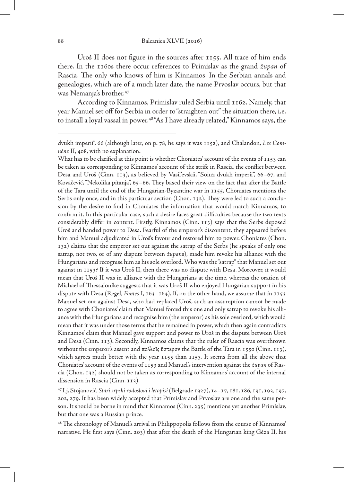Uroš II does not figure in the sources after 1155. All trace of him ends there. In the 1160s there occur references to Primislav as the grand *župan* of Rascia. The only who knows of him is Kinnamos. In the Serbian annals and genealogies, which are of a much later date, the name Prvoslav occurs, but that was Nemanja's brother.47

According to Kinnamos, Primislav ruled Serbia until 1162. Namely, that year Manuel set off for Serbia in order to "straighten out" the situation there, i.e. to install a loyal vassal in power.<sup>48</sup> "As I have already related," Kinnamos says, the

What has to be clarified at this point is whether Choniates' account of the events of 1153 can be taken as corresponding to Kinnamos' account of the strife in Rascia, the conflict between Desa and Uroš (Cinn. 113), as believed by Vasil'evskii, "Soiuz dvukh imperii", 66–67, and Kovačević, "Nekolika pitanja", 65–66. They based their view on the fact that after the Battle of the Tara until the end of the Hungarian-Byzantine war in 1155, Choniates mentions the Serbs only once, and in this particular section (Chon. 132). They were led to such a conclusion by the desire to find in Choniates the information that would match Kinnamos, to confirm it. In this particular case, such a desire faces great difficulties because the two texts considerably differ in content. Firstly, Kinnamos (Cinn. 113) says that the Serbs deposed Uroš and handed power to Desa. Fearful of the emperor's discontent, they appeared before him and Manuel adjudicated in Uroš's favour and restored him to power. Choniates (Chon. 132) claims that the emperor set out against the satrap of the Serbs (he speaks of only one satrap, not two, or of any dispute between *župan*s), made him revoke his alliance with the Hungarians and recognise him as his sole overlord. Who was the "satrap" that Manuel set out against in 1153? If it was Uroš II, then there was no dispute with Desa. Moreover, it would mean that Uroš II was in alliance with the Hungarians at the time, whereas the oration of Michael of Thessalonike suggests that it was Uroš II who enjoyed Hungarian support in his dispute with Desa (Regel, *Fontes* I, 163–164). If, on the other hand, we assume that in 1153 Manuel set out against Desa, who had replaced Uroš, such an assumption cannot be made to agree with Choniates' claim that Manuel forced this one and only satrap to revoke his alliance with the Hungarians and recognise him (the emperor) as his sole overlord, which would mean that it was under those terms that he remained in power, which then again contradicts Kinnamos' claim that Manuel gave support and power to Uroš in the dispute between Uroš and Desa (Cinn. 113). Secondly, Kinnamos claims that the ruler of Rascia was overthrown without the emperor's assent and πολλοῖς ὕστερον the Battle of the Tara in 1550 (Cinn. 113), which agrees much better with the year 1155 than 1153. It seems from all the above that Choniates' account of the events of 1153 and Manuel's intervention against the *župan* of Rascia (Chon. 132) should not be taken as corresponding to Kinnamos' account of the internal dissension in Rascia (Cinn. 113).

47 Lj. Stojanović, *Stari srpski rodoslovi i letopisi* (Belgrade 1927), 14–17, 181, 186, 191, 193, 197, 202, 279. It has been widely accepted that Primislav and Prvoslav are one and the same person. It should be borne in mind that Kinnamos (Cinn. 235) mentions yet another Primislav, but that one was a Russian prince.

<sup>48</sup> The chronology of Manuel's arrival in Philippopolis follows from the course of Kinnamos' narrative. He first says (Cinn. 203) that after the death of the Hungarian king Géza II, his

dvukh imperii", 66 (although later, on p. 78, he says it was 1152), and Chalandon, *Les Comnène* II, 408, with no explanation.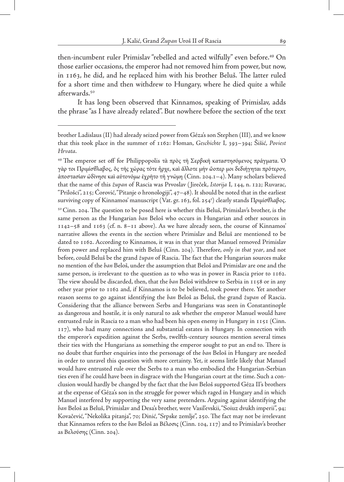then-incumbent ruler Primislav "rebelled and acted wilfully" even before.49 On those earlier occasions, the emperor had not removed him from power, but now, in 1163, he did, and he replaced him with his brother Beluš. The latter ruled for a short time and then withdrew to Hungary, where he died quite a while afterwards.50

It has long been observed that Kinnamos, speaking of Primislav, adds the phrase "as I have already related". But nowhere before the section of the text

as Βελούσης (Cinn. 204).

brother Ladislaus (II) had already seized power from Géza's son Stephen (III), and we know that this took place in the summer of 1162: Homan, *Geschichte* I, 393–394; Šišić, *Poviest Hrvata*.

<sup>&</sup>lt;sup>49</sup> The emperor set off for Philippopolis τὰ πρὸς τῆ Σερβικῆ καταστησόμενος πράγματα. Ὁ γὰρ τοι Πριμίσθλαβος, ὃς τῆς χώρας τότε ἦρχε, καὶ ἄλλοτε μήν ὤοπερ μοι δεδιήγηται πρότερον, ἀποστασίαν ὠδίνησε καὶ αὐτονόμω ἐχρῆτο τῆ γνώμη (Cinn. 204.1–4). Many scholars believed that the name of this *župan* of Rascia was Prvoslav ( Jireček, *Istorija* I, 144, n. 122; Ruvarac, "Prilošci", 215; Ćorović, "Pitanje o hronologiji", 47–48). It should be noted that in the earliest surviving copy of Kinnamos' manuscript (Vat. gr. 163, fol. 254r ) clearly stands Πριμίσθλαβος.  $50$  Cinn. 204. The question to be posed here is whether this Beluš, Primislav's brother, is the same person as the Hungarian *ban* Beloš who occurs in Hungarian and other sources in 1142–58 and 1163 (cf. n. 8–11 above). As we have already seen, the course of Kinnamos' narrative allows the events in the section where Primislav and Beluš are mentioned to be dated to 1162. According to Kinnamos, it was in that year that Manuel removed Primislav from power and replaced him with Beluš (Cinn. 204). Therefore, *only in that year*, and not before, could Beluš be the grand *župan* of Rascia. The fact that the Hungarian sources make no mention of the *ban* Beloš, under the assumption that Beloš and Primislav are one and the same person, is irrelevant to the question as to who was in power in Rascia prior to 1162. The view should be discarded, then, that the *ban* Beloš withdrew to Serbia in 1158 or in any other year prior to 1162 and, if Kinnamos is to be believed, took power there. Yet another reason seems to go against identifying the *ban* Beloš as Beluš, the grand *župan* of Rascia. Considering that the alliance between Serbs and Hungarians was seen in Constantinople as dangerous and hostile, it is only natural to ask whether the emperor Manuel would have entrusted rule in Rascia to a man who had been his open enemy in Hungary in 1151 (Cinn. 117), who had many connections and substantial estates in Hungary. In connection with the emperor's expedition against the Serbs, twelfth-century sources mention several times their ties with the Hungarians as something the emperor sought to put an end to. There is no doubt that further enquiries into the personage of the *ban* Beloš in Hungary are needed in order to unravel this question with more certainty. Yet, it seems little likely that Manuel would have entrusted rule over the Serbs to a man who embodied the Hungarian-Serbian ties even if he could have been in disgrace with the Hungarian court at the time. Such a conclusion would hardly be changed by the fact that the *ban* Beloš supported Géza II's brothers at the expense of Géza's son in the struggle for power which raged in Hungary and in which Manuel interfered by supporting the very same pretenders. Arguing against identifying the *ban* Beloš as Beluš, Primislav and Desa's brother, were Vasil'evskii, "Soiuz dvukh imperii", 94; Kovačević, "Nekolika pitanja", 70; Dinić, "Srpske zemlje", 250. The fact may not be irrelevant that Kinnamos refers to the *ban* Beloš as Βέλοσις (Cinn. 104, 117) and to Primislav's brother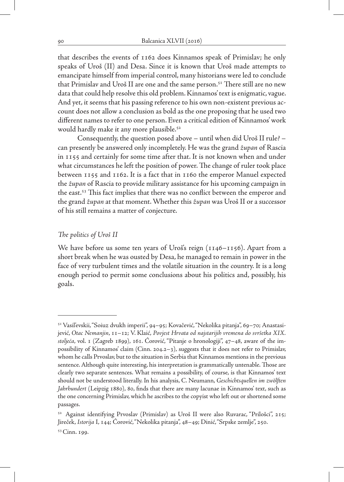that describes the events of 1162 does Kinnamos speak of Primislav; he only speaks of Uroš (II) and Desa. Since it is known that Uroš made attempts to emancipate himself from imperial control, many historians were led to conclude that Primislav and Uroš II are one and the same person.<sup>51</sup> There still are no new data that could help resolve this old problem. Kinnamos' text is enigmatic, vague. And yet, it seems that his passing reference to his own non-existent previous account does not allow a conclusion as bold as the one proposing that he used two different names to refer to one person. Even a critical edition of Kinnamos' work would hardly make it any more plausible.<sup>52</sup>

Consequently, the question posed above – until when did Uroš II rule? – can presently be answered only incompletely. He was the grand *župan* of Rascia in 1155 and certainly for some time after that. It is not known when and under what circumstances he left the position of power. The change of ruler took place between 1155 and 1162. It is a fact that in 1160 the emperor Manuel expected the *župan* of Rascia to provide military assistance for his upcoming campaign in the east.53 This fact implies that there was no conflict between the emperor and the grand *župan* at that moment. Whether this *župan* was Uroš II or a successor of his still remains a matter of conjecture.

### *The politics of Uroš II*

We have before us some ten years of Uroš's reign (1146–1156). Apart from a short break when he was ousted by Desa, he managed to remain in power in the face of very turbulent times and the volatile situation in the country. It is a long enough period to permit some conclusions about his politics and, possibly, his goals.

<sup>51</sup> Vasil'evskii, "Soiuz dvukh imperii", 94–95; Kovačević, "Nekolika pitanja", 69–70; Anastasijević, *Otac Nemanjin*, 11–12; V. Klaić, *Povjest Hrvata od najstarijih vremena do svršetka XIX. stoljeća*, vol. 1 (Zagreb 1899), 161. Ćorović, "Pitanje o hronologiji", 47–48, aware of the impossibility of Kinnamos' claim (Cinn. 204.2–3), suggests that it does not refer to Primislav, whom he calls Prvoslav, but to the situation in Serbia that Kinnamos mentions in the previous sentence. Although quite interesting, his interpretation is grammatically untenable. Those are clearly two separate sentences. What remains a possibility, of course, is that Kinnamos' text should not be understood literally. In his analysis, C. Neumann, *Geschichtsquellen im zwölften Jahrhundert* (Leipzig 1880), 80, finds that there are many lacunae in Kinnamos' text, such as the one concerning Primislav, which he ascribes to the copyist who left out or shortened some passages.

<sup>52</sup> Against identifying Prvoslav (Primislav) as Uroš II were also Ruvarac, "Prilošci", 215; Jireček, *Istorija* I, 144; Ćorović, "Nekolika pitanja", 48–49; Dinić, "Srpske zemlje", 250.

<sup>53</sup> Cinn. 199.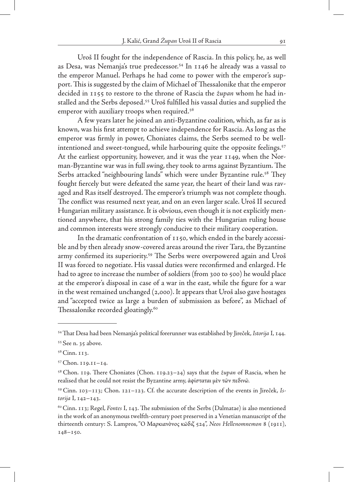Uroš II fought for the independence of Rascia. In this policy, he, as well as Desa, was Nemanja's true predecessor.54 In 1146 he already was a vassal to the emperor Manuel. Perhaps he had come to power with the emperor's support. This is suggested by the claim of Michael of Thessalonike that the emperor decided in 1155 to restore to the throne of Rascia the *župan* whom he had installed and the Serbs deposed.55 Uroš fulfilled his vassal duties and supplied the emperor with auxiliary troops when required.<sup>56</sup>

A few years later he joined an anti-Byzantine coalition, which, as far as is known, was his first attempt to achieve independence for Rascia. As long as the emperor was firmly in power, Choniates claims, the Serbs seemed to be wellintentioned and sweet-tongued, while harbouring quite the opposite feelings.<sup>57</sup> At the earliest opportunity, however, and it was the year 1149, when the Norman-Byzantine war was in full swing, they took to arms against Byzantium. The Serbs attacked "neighbouring lands" which were under Byzantine rule.<sup>58</sup> They fought fiercely but were defeated the same year, the heart of their land was ravaged and Ras itself destroyed. The emperor's triumph was not complete though. The conflict was resumed next year, and on an even larger scale. Uroš II secured Hungarian military assistance. It is obvious, even though it is not explicitly mentioned anywhere, that his strong family ties with the Hungarian ruling house and common interests were strongly conducive to their military cooperation.

In the dramatic confrontation of 1150, which ended in the barely accessible and by then already snow-covered areas around the river Tara, the Byzantine army confirmed its superiority.<sup>59</sup> The Serbs were overpowered again and Uroš II was forced to negotiate. His vassal duties were reconfirmed and enlarged. He had to agree to increase the number of soldiers (from 300 to 500) he would place at the emperor's disposal in case of a war in the east, while the figure for a war in the west remained unchanged (2,000). It appears that Uroš also gave hostages and "accepted twice as large a burden of submission as before", as Michael of Thessalonike recorded gloatingly.<sup>60</sup>

<sup>54</sup> That Desa had been Nemanja's political forerunner was established by Jireček, *Istorija* I, 144.

<sup>55</sup> See n. 35 above.

<sup>56</sup> Cinn. 113.

<sup>57</sup> Chon. 119.11–14.

<sup>58</sup> Chon. 119. There Choniates (Chon. 119.23–24) says that the *župan* of Rascia, when he realised that he could not resist the Byzantine army, ἀφίσταται μὲν τῶν πεδινῶ.

<sup>59</sup> Cinn. 103–113; Chon. 121–123. Cf. the accurate description of the events in Jireček, *Istorija* I, 142–143.

<sup>60</sup> Cinn. 113; Regel, *Fontes* I, 143. The submission of the Serbs (Dalmatae) is also mentioned in the work of an anonymous twelfth-century poet preserved in a Venetian manuscript of the thirteenth century: S. Lampros, "Ο Μαρκιανὸνος κῶδιζ 524", *Neos Hellenomnemon* 8 (1911), 148–150.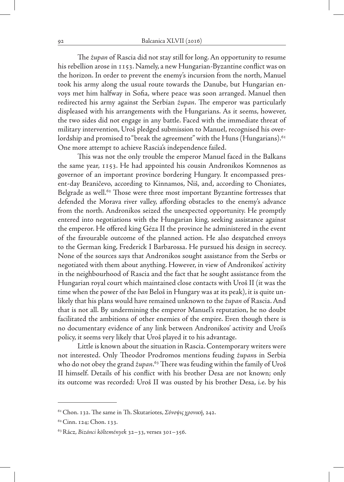The *župan* of Rascia did not stay still for long. An opportunity to resume his rebellion arose in 1153. Namely, a new Hungarian-Byzantine conflict was on the horizon. In order to prevent the enemy's incursion from the north, Manuel took his army along the usual route towards the Danube, but Hungarian envoys met him halfway in Sofia, where peace was soon arranged. Manuel then redirected his army against the Serbian *župan*. The emperor was particularly displeased with his arrangements with the Hungarians. As it seems, however, the two sides did not engage in any battle. Faced with the immediate threat of military intervention, Uroš pledged submission to Manuel, recognised his overlordship and promised to "break the agreement" with the Huns (Hungarians).  $61$ One more attempt to achieve Rascia's independence failed.

This was not the only trouble the emperor Manuel faced in the Balkans the same year, 1153. He had appointed his cousin Andronikos Komnenos as governor of an important province bordering Hungary. It encompassed present-day Braničevo, according to Kinnamos, Niš, and, according to Choniates, Belgrade as well.<sup>62</sup> Those were three most important Byzantine fortresses that defended the Morava river valley, affording obstacles to the enemy's advance from the north. Andronikos seized the unexpected opportunity. He promptly entered into negotiations with the Hungarian king, seeking assistance against the emperor. He offered king Géza II the province he administered in the event of the favourable outcome of the planned action. He also despatched envoys to the German king, Frederick I Barbarossa. He pursued his design in secrecy. None of the sources says that Andronikos sought assistance from the Serbs or negotiated with them about anything. However, in view of Andronikos' activity in the neighbourhood of Rascia and the fact that he sought assistance from the Hungarian royal court which maintained close contacts with Uroš II (it was the time when the power of the *ban* Beloš in Hungary was at its peak), it is quite unlikely that his plans would have remained unknown to the *župan* of Rascia. And that is not all. By undermining the emperor Manuel's reputation, he no doubt facilitated the ambitions of other enemies of the empire. Even though there is no documentary evidence of any link between Andronikos' activity and Uroš's policy, it seems very likely that Uroš played it to his advantage.

Little is known about the situation in Rascia. Contemporary writers were not interested. Only Theodor Prodromos mentions feuding *župan*s in Serbia who do not obey the grand *župan*. 63 There was feuding within the family of Uroš II himself. Details of his conflict with his brother Desa are not known; only its outcome was recorded: Uroš II was ousted by his brother Desa, i.e. by his

<sup>61</sup> Chon. 132. The same in Th. Skutariotes, *Σύνοψιςχρονική*, 242.

<sup>62</sup> Cinn. 124; Chon. 133.

<sup>63</sup> Rácz, *Bizánci költemények* 32–33, verses 301–356.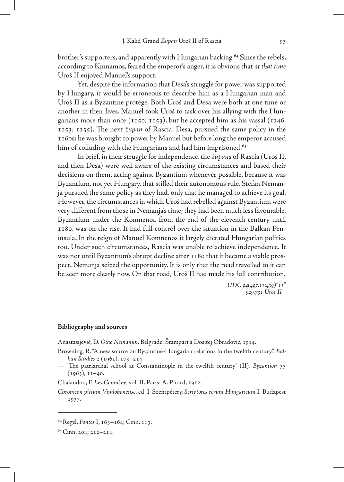brother's supporters, and apparently with Hungarian backing.<sup>64</sup> Since the rebels, according to Kinnamos, feared the emperor's anger, it is obvious that *at that time* Uroš II enjoyed Manuel's support.

Yet, despite the information that Desa's struggle for power was supported by Hungary, it would be erroneous to describe him as a Hungarian man and Uroš II as a Byzantine protégé. Both Uroš and Desa were both at one time or another in their lives. Manuel took Uroš to task over his allying with the Hungarians more than once (1150; 1153), but he accepted him as his vassal (1146; 1153; 1155). The next *župan* of Rascia, Desa, pursued the same policy in the 1160s: he was brought to power by Manuel but before long the emperor accused him of colluding with the Hungarians and had him imprisoned.<sup>65</sup>

In brief, in their struggle for independence, the *župan*s of Rascia (Uroš II, and then Desa) were well aware of the existing circumstances and based their decisions on them, acting against Byzantium whenever possible, because it was Byzantium, not yet Hungary, that stifled their autonomous rule. Stefan Nemanja pursued the same policy as they had, only that he managed to achieve its goal. However, the circumstances in which Uroš had rebelled against Byzantium were very different from those in Nemanja's time; they had been much less favourable. Byzantium under the Komnenoi, from the end of the eleventh century until 1180, was on the rise. It had full control over the situation in the Balkan Peninsula. In the reign of Manuel Komnenos it largely dictated Hungarian politics too. Under such circumstances, Rascia was unable to achieve independence. It was not until Byzantium's abrupt decline after 1180 that it became a viable prospect. Nemanja seized the opportunity. It is only that the road travelled to it can be seen more clearly now. On that road, Uroš II had made his full contribution.

> *UDC 94(497.11:439)"11" 929.731 Uroš II*

#### **Bibliography and sources**

Anastasijević, D. *Otac Nemanjin*. Belgrade: Štamparija Dositej Obradović, 1914.

Browning, R. "A new source on Byzantine-Hungarian relations in the twelfth century". *Balkan Studies* 2 (1961), 173–214.

Chalandon, F. *Les Comnène*, vol. II. Paris: A. Picard, 1912.

*Chronicon pictum Vindobonense*, ed. I. Szentpétery. *Scriptores rerum Hungaricum* I. Budapest 1937.

<sup>— &</sup>quot;The patriarchal school at Constantinople in the twelfth century" (II). *Byzantion* 33  $(1963)$ ,  $II-40$ .

<sup>64</sup> Regel, *Fontes* I, 163–164; Cinn. 113.

<sup>65</sup> Cinn. 204; 212–214.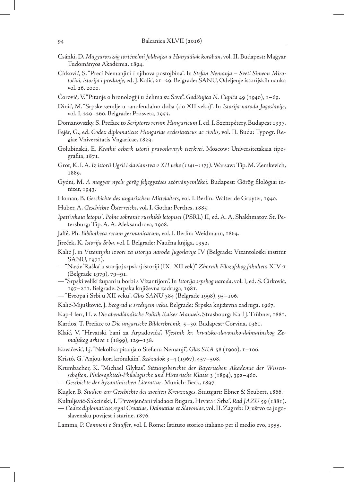- Csánki, D. *Magyarország történelmi földrajza a Hunyadiak korában*, vol. II. Budapest: Magyar Tudományos Akadémia, 1894.
- Ćirković, S. "Preci Nemanjini i njihova postojbina". In *Stefan Nemanja Sveti Simeon Mirotočivi, istorija i predanje*, ed. J. Kalić, 21–29. Belgrade: SANU, Odeljenje istorijskih nauka vol. 26, 2000.
- Ćorović, V. "Pitanje o hronologiji u delima sv. Save". *Godišnjica N. Čupića* 49 (1940), 1–69.
- Dinić, M. "Srpske zemlje u ranofeudalno doba (do XII veka)". In *Istorija naroda Jugoslavije*, vol. I, 229–260. Belgrade: Prosveta, 1953.
- Domanovszky, S. Preface to *Scriptores rerum Hungaricum* I, ed. I. Szentpétery. Budapest 1937.
- Fejér, G., ed. *Codex diplomaticus Hungariae ecclesiasticus ac civilis*, vol. II. Buda: Typogr. Regiae Vniversitatis Vngaricae, 1829.
- Golubinskii, E. *Kratkii ocherk istorii pravoslavnyh tserkvei*. Moscow: Universitetskaia tipografiia, 1871.
- Grot, K. I. A. *Iz istorii Ugrii i slavianstva v XII veke (1141–1173)*. Warsaw: Tip. M. Zemkevich, 1889.
- Gyóni, M. *A magyar nyelv görög feljegyzéses szórványemlékei.* Budapest: Görög filológiai intézet, 1943.
- Homan, B. *Geschichte des ungarischen Mittelalters*, vol. I. Berlin: Walter de Gruyter, 1940.
- Huber, A. *Geschichte Österreichs*, vol. I. Gotha: Perthes, 1885.
- *Ipati'vskaia letopis'*, *Polne sobranie russkikh letopisei* (PSRL) II, ed. A. A. Shakhmatov. St. Petersburg: Tip. A. A. Aleksandrova, 1908.
- Jaffé, Ph. *Bibliotheca rerum germanicarum*, vol. I. Berlin: Weidmann, 1864.
- Jireček, K. *Istorija Srba*, vol. I. Belgrade: Naučna knjiga, 1952.
- Kalić J. in *Vizantijski izvori za istoriju naroda Jugoslavije* IV (Belgrade: Vizantološki institut SANU, 1971).
- "Naziv 'Raška' u starijoj srpskoj istoriji (IX–XII vek)". *Zbornik Filozofskog fakulteta* XIV-1 (Belgrade 1979), 79–91.
- "Srpski veliki župani u borbi s Vizantijom". In *Istorija srpskog naroda*, vol. I, ed. S. Ćirković, 197–211. Belgrade: Srpska književna zadruga, 1981.
- "Evropa i Srbi u XII veku". *Glas SANU* 384 (Belgrade 1998), 95–106.
- Kalić-Mijušković, J. *Beograd u srednjem veku*. Belgrade: Srpska književna zadruga, 1967.
- Kap-Herr, H. v. *Die abendländische Politik Kaiser Manuels*. Strasbourg: Karl J. Trübner, 1881.
- Kardos, T. Preface to *Die ungarische Bilderchronik*, 5–30. Budapest: Corvina, 1961.
- Klaić, V. "Hrvatski bani za Arpadovića". *Vjestnik kr. hrvatsko-slavonsko-dalmatinskog Zemaljskog arkiva* 1 (1899), 129–138.
- Kovačević, Lj. "Nekolika pitanja o Stefanu Nemanji", *Glas SKA* 58 (1900), 1–106.
- Kristó, G. "Anjou-kori krónikáin". *Századok* 3–4 (1967), 457–508.
- Krumbacher, K. "Michael Glykas". *Sitzungsberichte der Bayerischen Akademie der Wissenschaften, Philosophisch-Philologische und Historische Klasse* 3 (1894), 392–460.
- *Geschichte der byzantinischen Literattur*. Munich: Beck, 1897.
- Kugler, B. *Studien zur Geschichte des zweiten Kreuzzuges*. Stuttgart: Ebner & Seubert, 1866.
- Kukuljević-Sakcinski, I. "Prvovjenčani vladaoci Bugara, Hrvata i Srba". *Rad JAZU* 59 (1881).
- *Codex diplomaticus regni Croatiae, Dalmatiae et Slavoniae*, vol. II. Zagreb: Društvo za jugoslavensku povijest i starine, 1876.
- Lamma, P. *Comneni e Stauffer*, vol. I. Rome: Istituto storico italiano per il medio evo, 1955.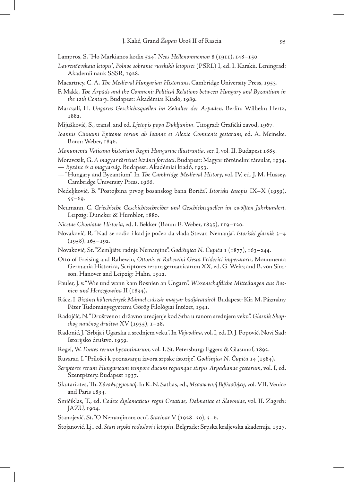- Lampros, S. "Ho Markianos kodix 524". *Neos Hellenomnemon* 8 (1911), 148–150.
- *Lavrent'evskaia letopis'*, *Polnoe sobranie russkikh letopisei* (PSRL) I, ed. I. Karskii. Leningrad: Akademii nauk SSSR, 1928.
- Macartney, C. A. *The Medieval Hungarian Historians*. Cambridge University Press, 1953.
- F. Makk, *The Árpáds and the Comneni: Political Relations between Hungary and Byzantium in the 12th Century*. Budapest: Akadémiai Kiadó, 1989.
- Marczali, H. *Ungarns Geschichtsquellen im Zeitalter der Arpaden*. Berlin: Wilhelm Hertz, 1882.
- Mijušković, S., transl. and ed. *Ljetopis popa Dukljanina*. Titograd: Grafički zavod, 1967.
- *Ioannis Cinnami Epitome rerum ab Ioanne et Alexio Comnenis gestarum*, ed. A. Meineke. Bonn: Weber, 1836.
- *Monumenta Vaticana historiam Regni Hungariae illustrantia*, ser. I, vol. II. Budapest 1885.
- Moravcsik, G. *A magyar történet bizánci forrásai*. Budapest: Magyar történelmi társulat, 1934.
- *Byzánc és a magyarság*. Budapest: Akadémiai kiadó, 1953.
- "Hungary and Byzantium". In *The Cambridge Medieval History*, vol. IV, ed. J. M. Hussey. Cambridge University Press, 1966.
- Nedeljković, B. "Postojbina prvog bosanskog bana Boriča". *Istoriski časopis* IX–X (1959), 55–69.
- Neumann, C. *Griechische Geschichtsschreiber und Geschichtsquellen im zwölften Jahrhundert*. Leipzig: Duncker & Humblot, 1880.
- *Nicetae Choniatae Historia*, ed. I. Bekker (Bonn: E. Weber, 1835), 119–120.
- Novaković, R. "Kad se rodio i kad je počeo da vlada Stevan Nemanja". *Istoriski glasnik* 3–4  $(1958), 165 - 192.$
- Novaković, St. "Zemljište radnje Nemanjine". *Godišnjica N. Čupića* 1 (1877), 163–244.
- Otto of Freising and Rahewin, *Ottonis et Rahewini Gesta Friderici imperatoris*, Monumenta Germania Historica, Scriptores rerum germanicarum XX, ed. G. Weitz and B. von Simson. Hanover and Leipzig: Hahn, 1912.
- Pauler, J. v. "Wie und wann kam Bosnien an Ungarn". *Wissenschaftliche Mitteilungen aus Bosnien und Herzegowina* II (1894).
- Rácz, I. *Bizánci költemények Mánuel császár magyar hadjáratairól*. Budapest: Kir. M. Pázmány Péter Tudományegyetemi Görög Filológiai Intézet, 1941.
- Radojčić, N. "Društveno i državno uredjenje kod Srba u ranom srednjem veku". *Glasnik Skopskog naučnog društva* XV (1935), 1–28.
- Radonić, J. "Srbija i Ugarska u srednjem veku". In *Vojvodina*, vol. I, ed. D. J. Popović. Novi Sad: Istorijsko društvo, 1939.
- Regel, W. *Fontes rerum byzantinarum*, vol. I. St. Petersburg: Eggers & Glasunof, 1892.
- Ruvarac, I. "Prilošci k poznavanju izvora srpske istorije". *Godišnjica N. Čupića* 14 (1984).
- *Scriptores rerum Hungaricum tempore ducum regumque stirpis Arpadianae gestarum*, vol. I, ed. Szentpétery. Budapest 1937.
- Skutariotes, Th. *Σύνοψιςχρονική*. In K. N. Sathas, ed., *Μεσαιωνική Βιβλιοθήκη*, vol. VII. Venice and Paris 1894.
- Smičiklas, T., ed. *Codex diplomaticus regni Croatiae, Dalmatiae et Slavoniae*, vol. II. Zagreb: JAZU, 1904.
- Stanojević, St. "O Nemanjinom ocu", *Starinar* V (1928–30), 3–6.
- Stojanović, Lj., ed. *Stari srpski rodoslovi i letopisi*. Belgrade: Srpska kraljevska akademija, 1927.